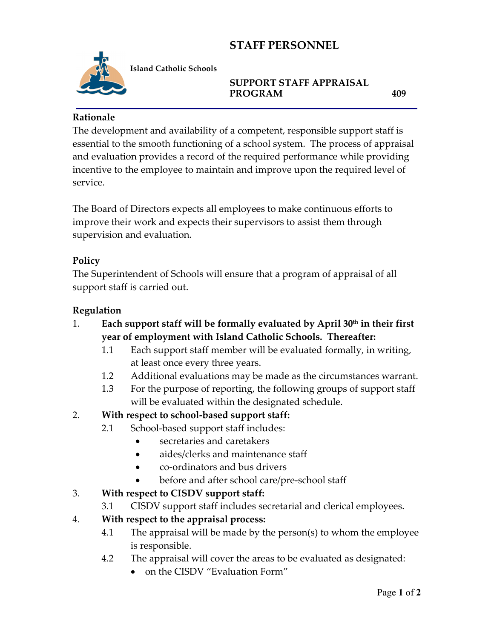# **STAFF PERSONNEL**



**Island Catholic Schools** 

#### **SUPPORT STAFF APPRAISAL**  PROGRAM 409

## **Rationale**

The development and availability of a competent, responsible support staff is essential to the smooth functioning of a school system. The process of appraisal and evaluation provides a record of the required performance while providing incentive to the employee to maintain and improve upon the required level of service.

The Board of Directors expects all employees to make continuous efforts to improve their work and expects their supervisors to assist them through supervision and evaluation.

## **Policy**

The Superintendent of Schools will ensure that a program of appraisal of all support staff is carried out.

#### **Regulation**

- 1. **Each support staff will be formally evaluated by April 30th in their first year of employment with Island Catholic Schools. Thereafter:**
	- 1.1 Each support staff member will be evaluated formally, in writing, at least once every three years.
	- 1.2 Additional evaluations may be made as the circumstances warrant.
	- 1.3 For the purpose of reporting, the following groups of support staff will be evaluated within the designated schedule.

## 2. **With respect to school-based support staff:**

- 2.1 School-based support staff includes:
	- secretaries and caretakers
	- aides/clerks and maintenance staff
	- co-ordinators and bus drivers
	- before and after school care/pre-school staff

## 3. **With respect to CISDV support staff:**

3.1 CISDV support staff includes secretarial and clerical employees.

## 4. **With respect to the appraisal process:**

- 4.1 The appraisal will be made by the person(s) to whom the employee is responsible.
- 4.2 The appraisal will cover the areas to be evaluated as designated:
	- on the CISDV "Evaluation Form"